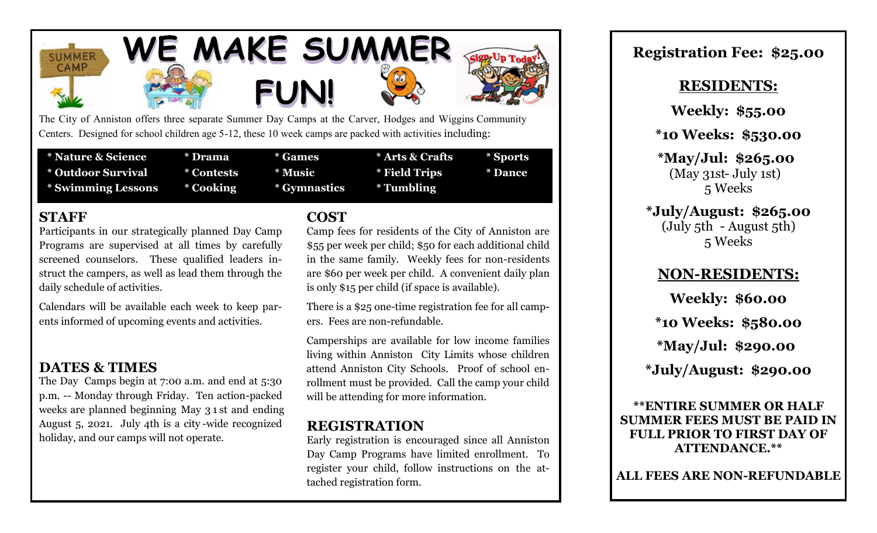





The City of Anniston offers three separate Summer Day Camps at the Carver, Hodges and Wiggins Community Centers. Designed for school children age 5-12, these 10 week camps are packed with activities including:

| * Nature & Science        | * Drama    | * Games      | * Arts & Crafts | * Sports       |
|---------------------------|------------|--------------|-----------------|----------------|
| * Outdoor Survival        | * Contests | * Music      | * Field Trips   | <b>* Dance</b> |
| <b>* Swimming Lessons</b> | * Cooking  | * Gymnastics | * Tumbling      |                |

### **STAFF**

Participants in our strategically planned Day Camp Programs are supervised at all times by carefully screened counselors. These qualified leaders instruct the campers, as well as lead them through the daily schedule of activities.

Calendars will be available each week to keep parents informed of upcoming events and activities.

## **DATES & TIMES**

The Day Camps begin at 7:00 a.m. and end at 5:30 p.m. -- Monday through Friday. Ten action-packed weeks are planned beginning May 3 1 st and ending August 5, 2021. July 4th is a city -wide recognized holiday, and our camps will not operate.

### **COST**

Camp fees for residents of the City of Anniston are \$55 per week per child; \$50 for each additional child in the same family. Weekly fees for non-residents are \$60 per week per child. A convenient daily plan is only \$15 per child (if space is available).

There is a \$25 one-time registration fee for all campers. Fees are non-refundable.

Camperships are available for low income families living within Anniston City Limits whose children attend Anniston City Schools. Proof of school enrollment must be provided. Call the camp your child will be attending for more information.

## **REGISTRATION**

Early registration is encouraged since all Anniston Day Camp Programs have limited enrollment. To register your child, follow instructions on the attached registration form.

# **Registration Fee: \$25.00**

### **RESIDENTS:**

**Weekly: \$55.00**

**\*10 Weeks: \$530.00**

**\*May/Jul: \$265.00**  $(May 31st-July 1st)$ 5 Weeks

### **\*July/August: \$265.00** (July 5th - August 5th) 5 Weeks

# **NON-RESIDENTS:**

**Weekly: \$60.00 \*10 Weeks: \$580.00 \*May/Jul: \$290.00 \*July/August: \$290.00**

**\*\*ENTIRE SUMMER OR HALF SUMMER FEES MUST BE PAID IN FULL PRIOR TO FIRST DAY OF ATTENDANCE.\*\***

**ALL FEES ARE NON-REFUNDABLE**